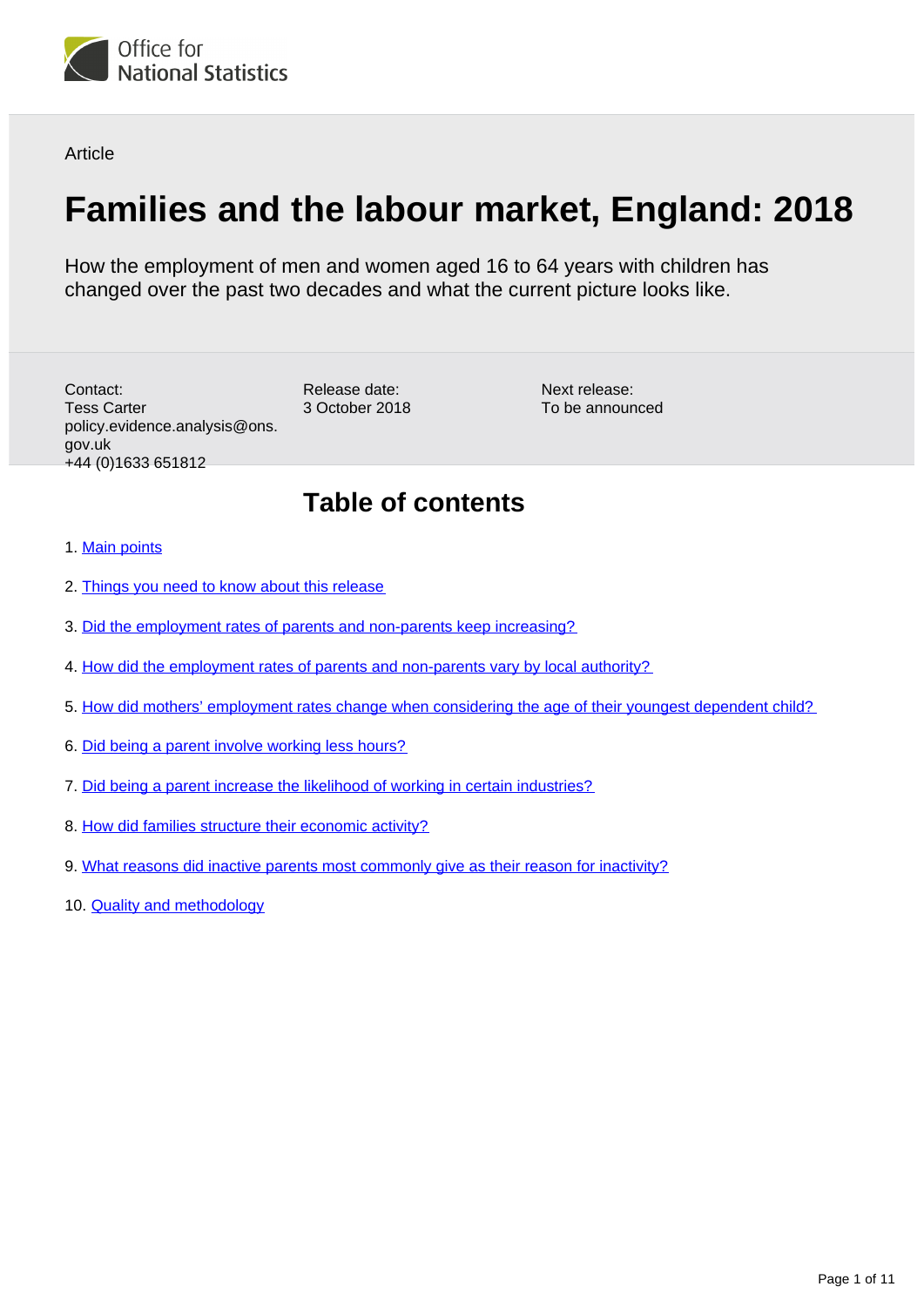

**Article** 

# **Families and the labour market, England: 2018**

How the employment of men and women aged 16 to 64 years with children has changed over the past two decades and what the current picture looks like.

Contact: Tess Carter policy.evidence.analysis@ons. gov.uk +44 (0)1633 651812

Next release: To be announced

## **Table of contents**

- 1. [Main points](#page-1-0)
- 2. [Things you need to know about this release](#page-1-1)
- 3. [Did the employment rates of parents and non-parents keep increasing?](#page-2-0)
- 4. [How did the employment rates of parents and non-parents vary by local authority?](#page-3-0)

Release date: 3 October 2018

- 5. [How did mothers' employment rates change when considering the age of their youngest dependent child?](#page-3-1)
- 6. [Did being a parent involve working less hours?](#page-4-0)
- 7. [Did being a parent increase the likelihood of working in certain industries?](#page-6-0)
- 8. [How did families structure their economic activity?](#page-8-0)
- 9. [What reasons did inactive parents most commonly give as their reason for inactivity?](#page-9-0)
- 10. [Quality and methodology](#page-10-0)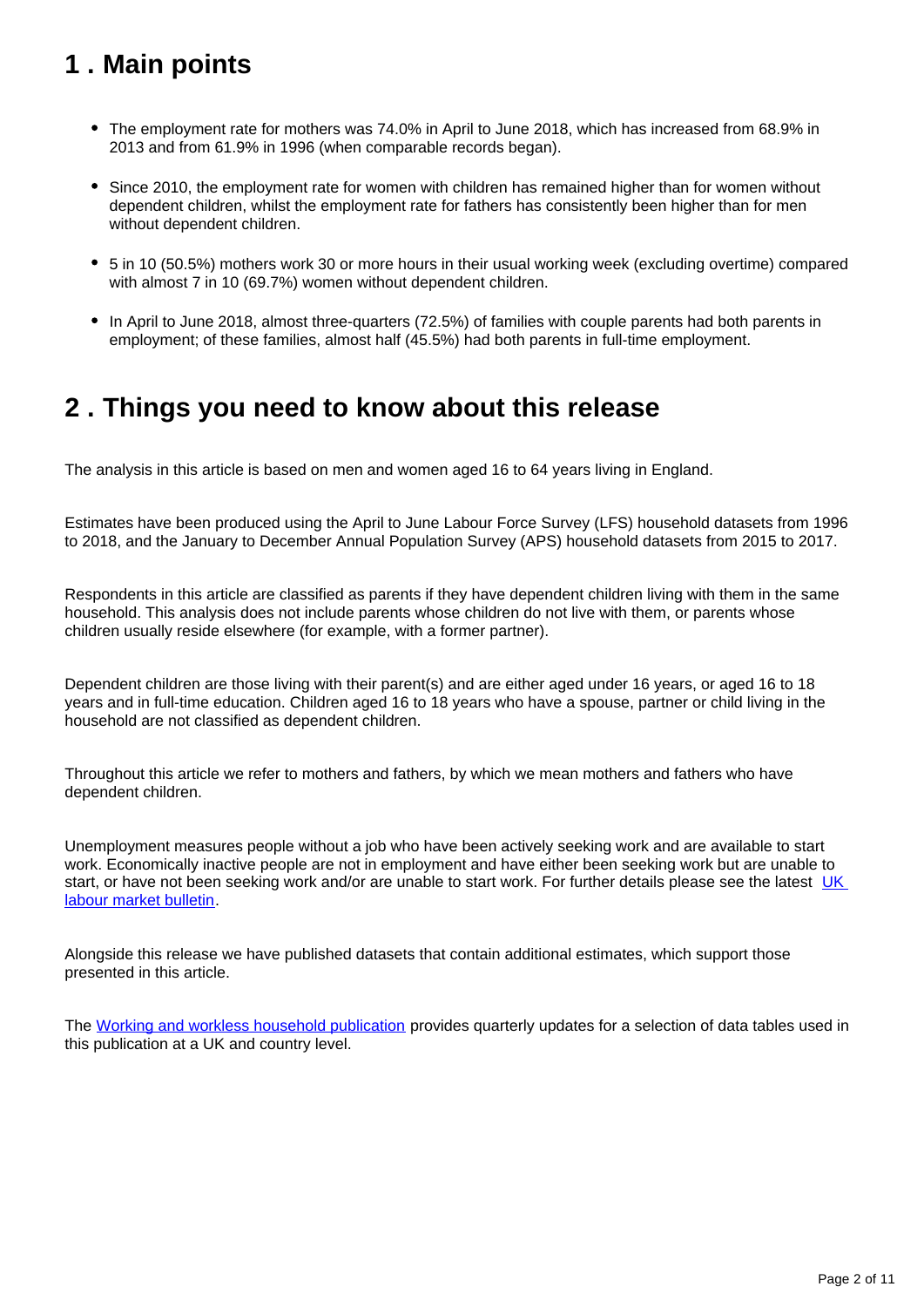## <span id="page-1-0"></span>**1 . Main points**

- The employment rate for mothers was 74.0% in April to June 2018, which has increased from 68.9% in 2013 and from 61.9% in 1996 (when comparable records began).
- Since 2010, the employment rate for women with children has remained higher than for women without dependent children, whilst the employment rate for fathers has consistently been higher than for men without dependent children.
- 5 in 10 (50.5%) mothers work 30 or more hours in their usual working week (excluding overtime) compared with almost 7 in 10 (69.7%) women without dependent children.
- In April to June 2018, almost three-quarters (72.5%) of families with couple parents had both parents in employment; of these families, almost half (45.5%) had both parents in full-time employment.

## <span id="page-1-1"></span>**2 . Things you need to know about this release**

The analysis in this article is based on men and women aged 16 to 64 years living in England.

Estimates have been produced using the April to June Labour Force Survey (LFS) household datasets from 1996 to 2018, and the January to December Annual Population Survey (APS) household datasets from 2015 to 2017.

Respondents in this article are classified as parents if they have dependent children living with them in the same household. This analysis does not include parents whose children do not live with them, or parents whose children usually reside elsewhere (for example, with a former partner).

Dependent children are those living with their parent(s) and are either aged under 16 years, or aged 16 to 18 years and in full-time education. Children aged 16 to 18 years who have a spouse, partner or child living in the household are not classified as dependent children.

Throughout this article we refer to mothers and fathers, by which we mean mothers and fathers who have dependent children.

Unemployment measures people without a job who have been actively seeking work and are available to start work. Economically inactive people are not in employment and have either been seeking work but are unable to start, or have not been seeking work and/or are unable to start work. For further details please see the latest UK [labour market bulletin.](https://www.ons.gov.uk/employmentandlabourmarket/peopleinwork/employmentandemployeetypes/bulletins/uklabourmarket/previousReleases)

Alongside this release we have published datasets that contain additional estimates, which support those presented in this article.

The [Working and workless household publication](https://www.ons.gov.uk/employmentandlabourmarket/peopleinwork/employmentandemployeetypes/bulletins/workingandworklesshouseholds/apriltojune2018) provides quarterly updates for a selection of data tables used in this publication at a UK and country level.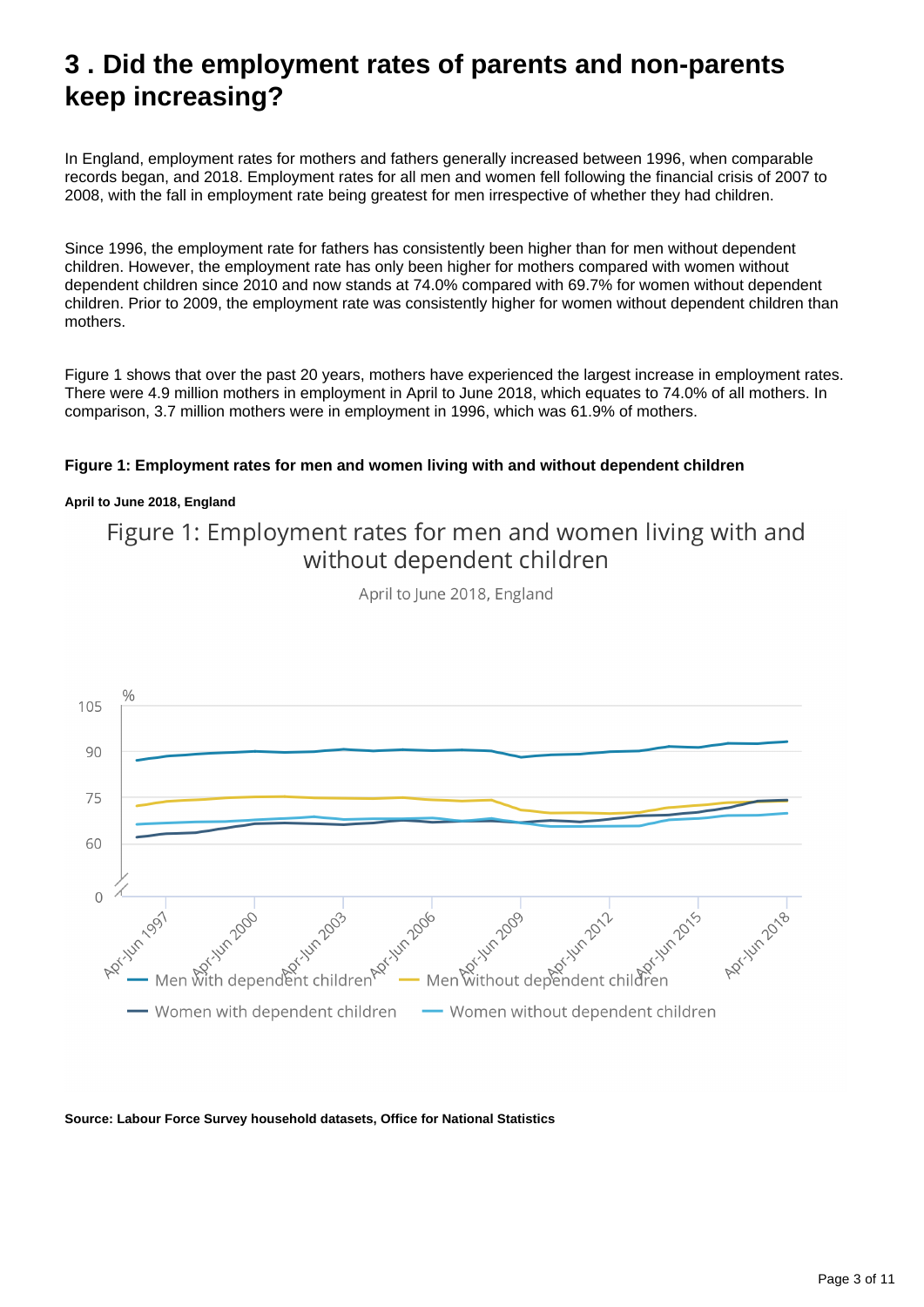## <span id="page-2-0"></span>**3 . Did the employment rates of parents and non-parents keep increasing?**

In England, employment rates for mothers and fathers generally increased between 1996, when comparable records began, and 2018. Employment rates for all men and women fell following the financial crisis of 2007 to 2008, with the fall in employment rate being greatest for men irrespective of whether they had children.

Since 1996, the employment rate for fathers has consistently been higher than for men without dependent children. However, the employment rate has only been higher for mothers compared with women without dependent children since 2010 and now stands at 74.0% compared with 69.7% for women without dependent children. Prior to 2009, the employment rate was consistently higher for women without dependent children than mothers.

Figure 1 shows that over the past 20 years, mothers have experienced the largest increase in employment rates. There were 4.9 million mothers in employment in April to June 2018, which equates to 74.0% of all mothers. In comparison, 3.7 million mothers were in employment in 1996, which was 61.9% of mothers.

### **Figure 1: Employment rates for men and women living with and without dependent children**

### **April to June 2018, England**

### Figure 1: Employment rates for men and women living with and without dependent children

April to June 2018, England



**Source: Labour Force Survey household datasets, Office for National Statistics**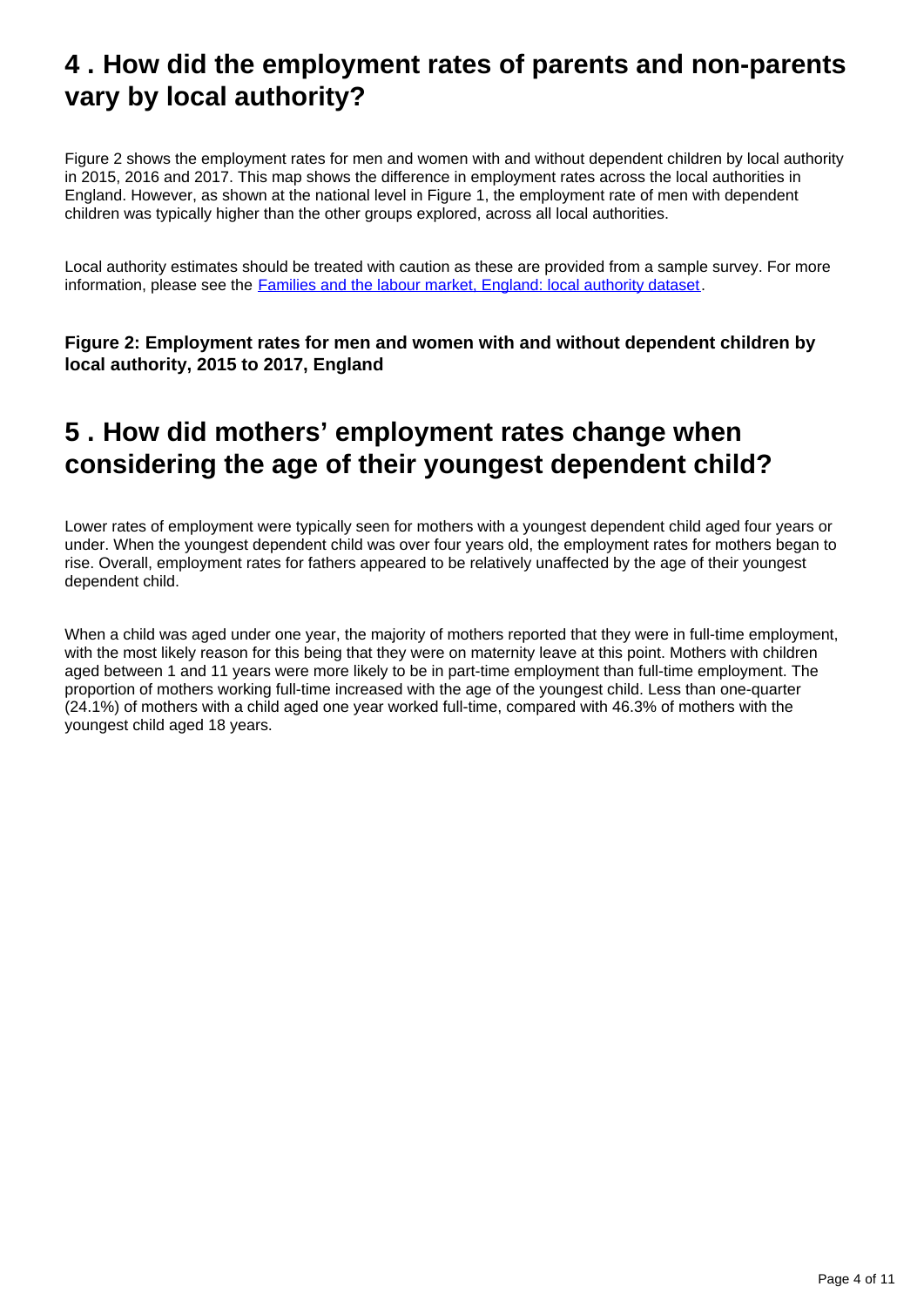## <span id="page-3-0"></span>**4 . How did the employment rates of parents and non-parents vary by local authority?**

Figure 2 shows the employment rates for men and women with and without dependent children by local authority in 2015, 2016 and 2017. This map shows the difference in employment rates across the local authorities in England. However, as shown at the national level in Figure 1, the employment rate of men with dependent children was typically higher than the other groups explored, across all local authorities.

Local authority estimates should be treated with caution as these are provided from a sample survey. For more information, please see the [Families and the labour market, England: local authority dataset.](https://www.ons.gov.uk/employmentandlabourmarket/peopleinwork/employmentandemployeetypes/datasets/familiesandthelabourmarketenglandlocalauthoritydataset)

**Figure 2: Employment rates for men and women with and without dependent children by local authority, 2015 to 2017, England**

## <span id="page-3-1"></span>**5 . How did mothers' employment rates change when considering the age of their youngest dependent child?**

Lower rates of employment were typically seen for mothers with a youngest dependent child aged four years or under. When the youngest dependent child was over four years old, the employment rates for mothers began to rise. Overall, employment rates for fathers appeared to be relatively unaffected by the age of their youngest dependent child.

When a child was aged under one year, the majority of mothers reported that they were in full-time employment, with the most likely reason for this being that they were on maternity leave at this point. Mothers with children aged between 1 and 11 years were more likely to be in part-time employment than full-time employment. The proportion of mothers working full-time increased with the age of the youngest child. Less than one-quarter (24.1%) of mothers with a child aged one year worked full-time, compared with 46.3% of mothers with the youngest child aged 18 years.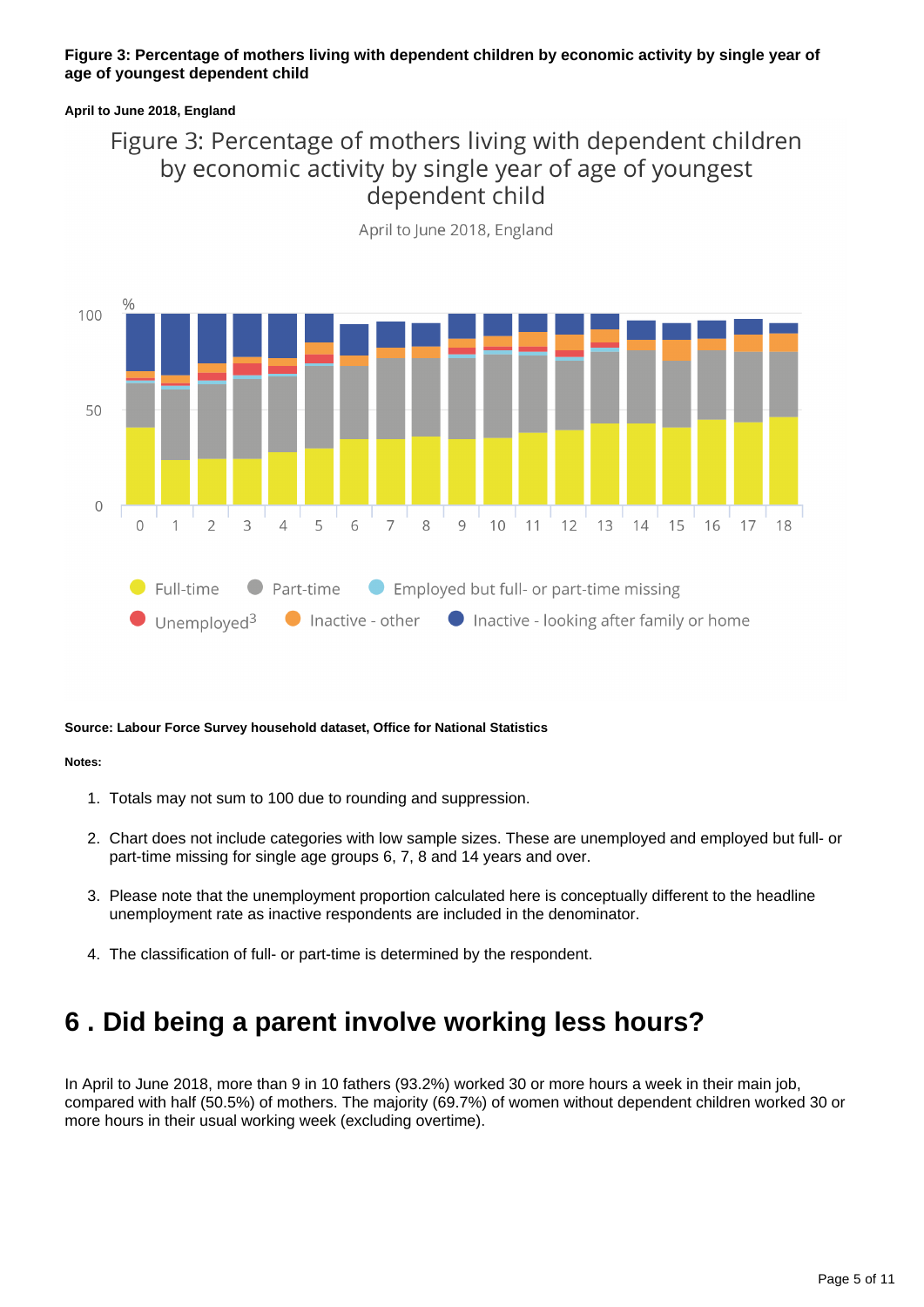### **Figure 3: Percentage of mothers living with dependent children by economic activity by single year of age of youngest dependent child**

### **April to June 2018, England**

### Figure 3: Percentage of mothers living with dependent children by economic activity by single year of age of youngest dependent child



April to June 2018, England

### **Source: Labour Force Survey household dataset, Office for National Statistics**

### **Notes:**

- 1. Totals may not sum to 100 due to rounding and suppression.
- 2. Chart does not include categories with low sample sizes. These are unemployed and employed but full- or part-time missing for single age groups 6, 7, 8 and 14 years and over.
- 3. Please note that the unemployment proportion calculated here is conceptually different to the headline unemployment rate as inactive respondents are included in the denominator.
- 4. The classification of full- or part-time is determined by the respondent.

## <span id="page-4-0"></span>**6 . Did being a parent involve working less hours?**

In April to June 2018, more than 9 in 10 fathers (93.2%) worked 30 or more hours a week in their main job, compared with half (50.5%) of mothers. The majority (69.7%) of women without dependent children worked 30 or more hours in their usual working week (excluding overtime).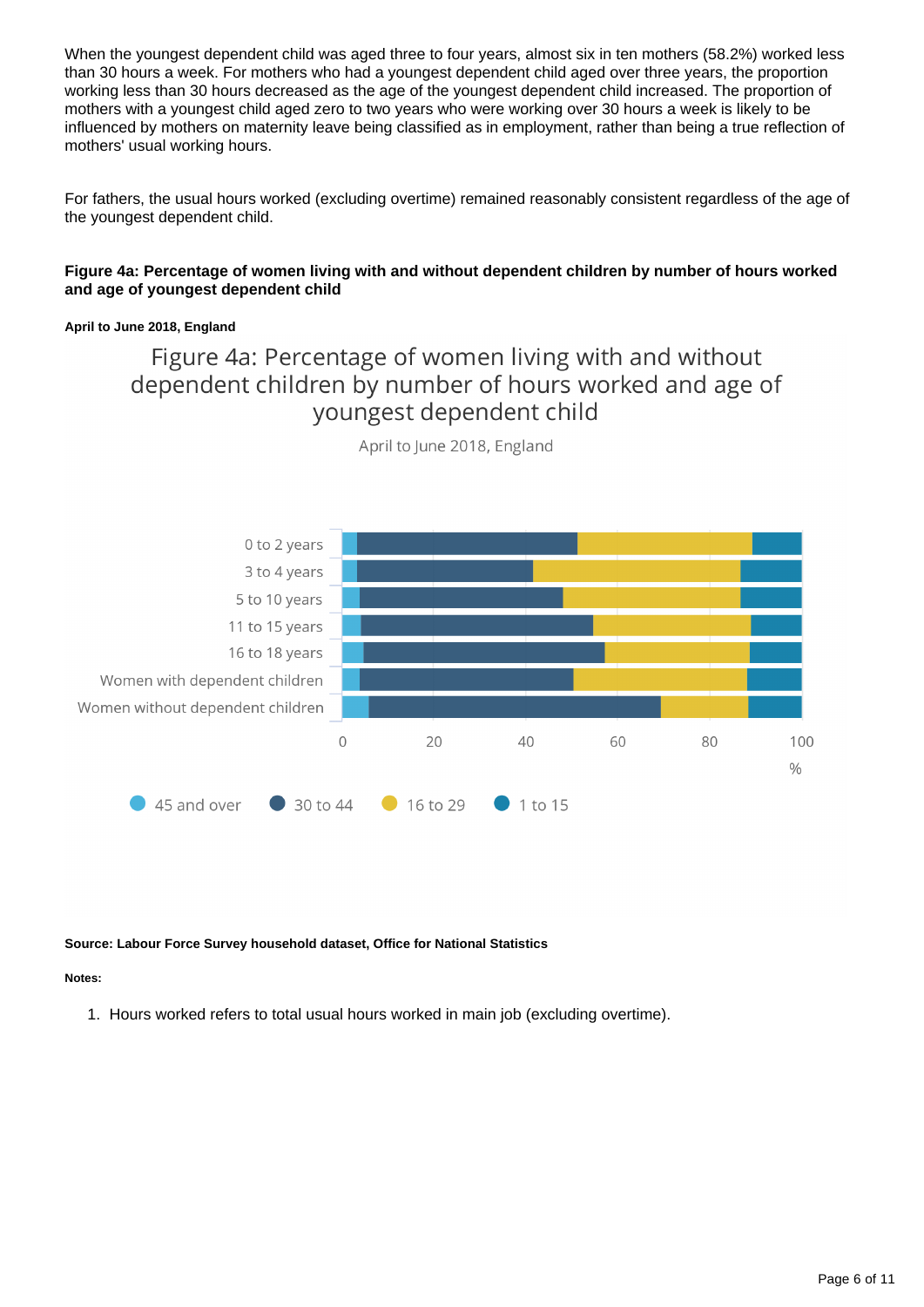When the youngest dependent child was aged three to four years, almost six in ten mothers (58.2%) worked less than 30 hours a week. For mothers who had a youngest dependent child aged over three years, the proportion working less than 30 hours decreased as the age of the youngest dependent child increased. The proportion of mothers with a youngest child aged zero to two years who were working over 30 hours a week is likely to be influenced by mothers on maternity leave being classified as in employment, rather than being a true reflection of mothers' usual working hours.

For fathers, the usual hours worked (excluding overtime) remained reasonably consistent regardless of the age of the youngest dependent child.

### **Figure 4a: Percentage of women living with and without dependent children by number of hours worked and age of youngest dependent child**

### **April to June 2018, England**

### Figure 4a: Percentage of women living with and without dependent children by number of hours worked and age of youngest dependent child



April to June 2018, England

### **Source: Labour Force Survey household dataset, Office for National Statistics**

### **Notes:**

1. Hours worked refers to total usual hours worked in main job (excluding overtime).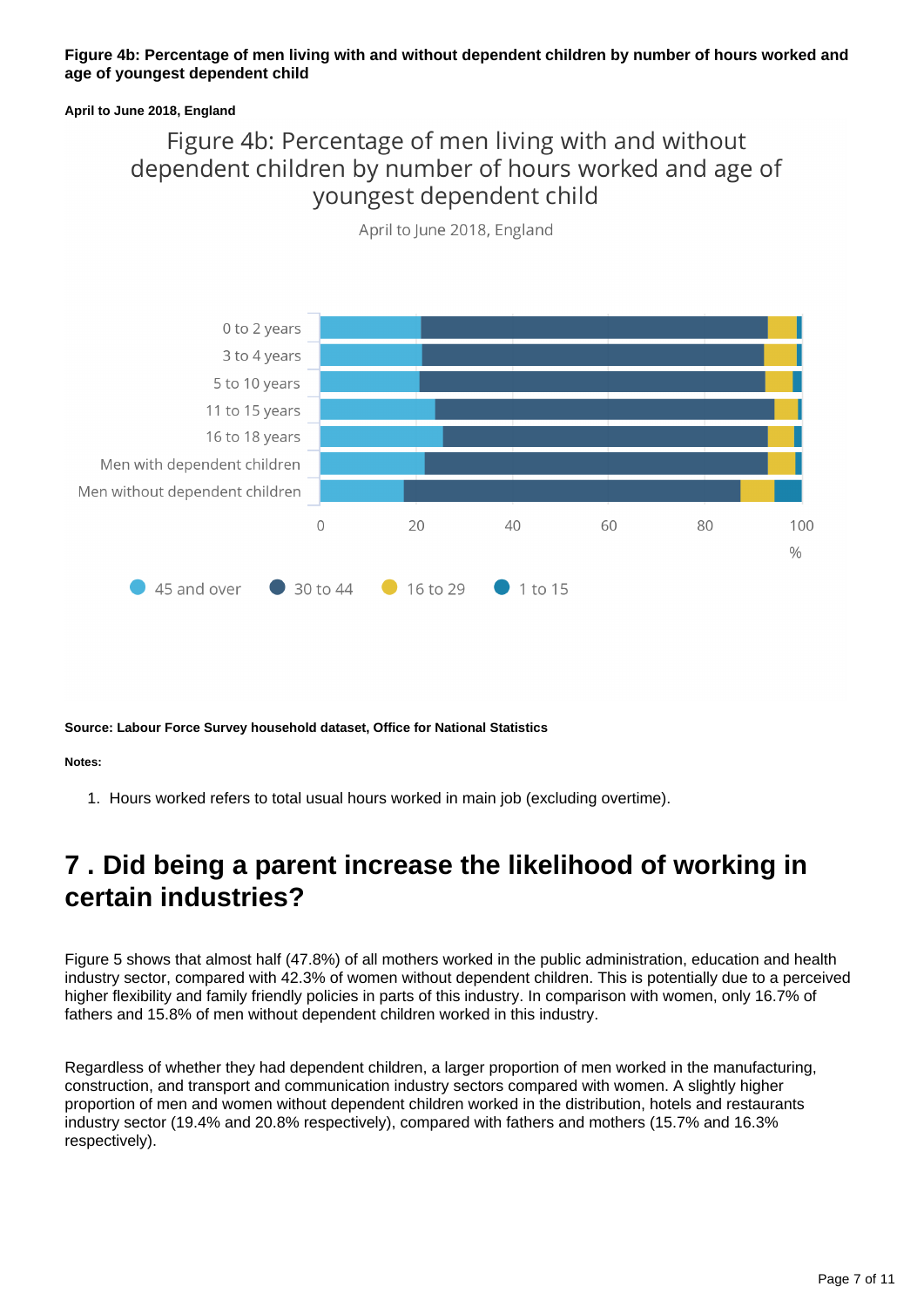### **Figure 4b: Percentage of men living with and without dependent children by number of hours worked and age of youngest dependent child**

### **April to June 2018, England**

### Figure 4b: Percentage of men living with and without dependent children by number of hours worked and age of youngest dependent child



April to June 2018, England

**Source: Labour Force Survey household dataset, Office for National Statistics**

### **Notes:**

1. Hours worked refers to total usual hours worked in main job (excluding overtime).

## <span id="page-6-0"></span>**7 . Did being a parent increase the likelihood of working in certain industries?**

Figure 5 shows that almost half (47.8%) of all mothers worked in the public administration, education and health industry sector, compared with 42.3% of women without dependent children. This is potentially due to a perceived higher flexibility and family friendly policies in parts of this industry. In comparison with women, only 16.7% of fathers and 15.8% of men without dependent children worked in this industry.

Regardless of whether they had dependent children, a larger proportion of men worked in the manufacturing, construction, and transport and communication industry sectors compared with women. A slightly higher proportion of men and women without dependent children worked in the distribution, hotels and restaurants industry sector (19.4% and 20.8% respectively), compared with fathers and mothers (15.7% and 16.3% respectively).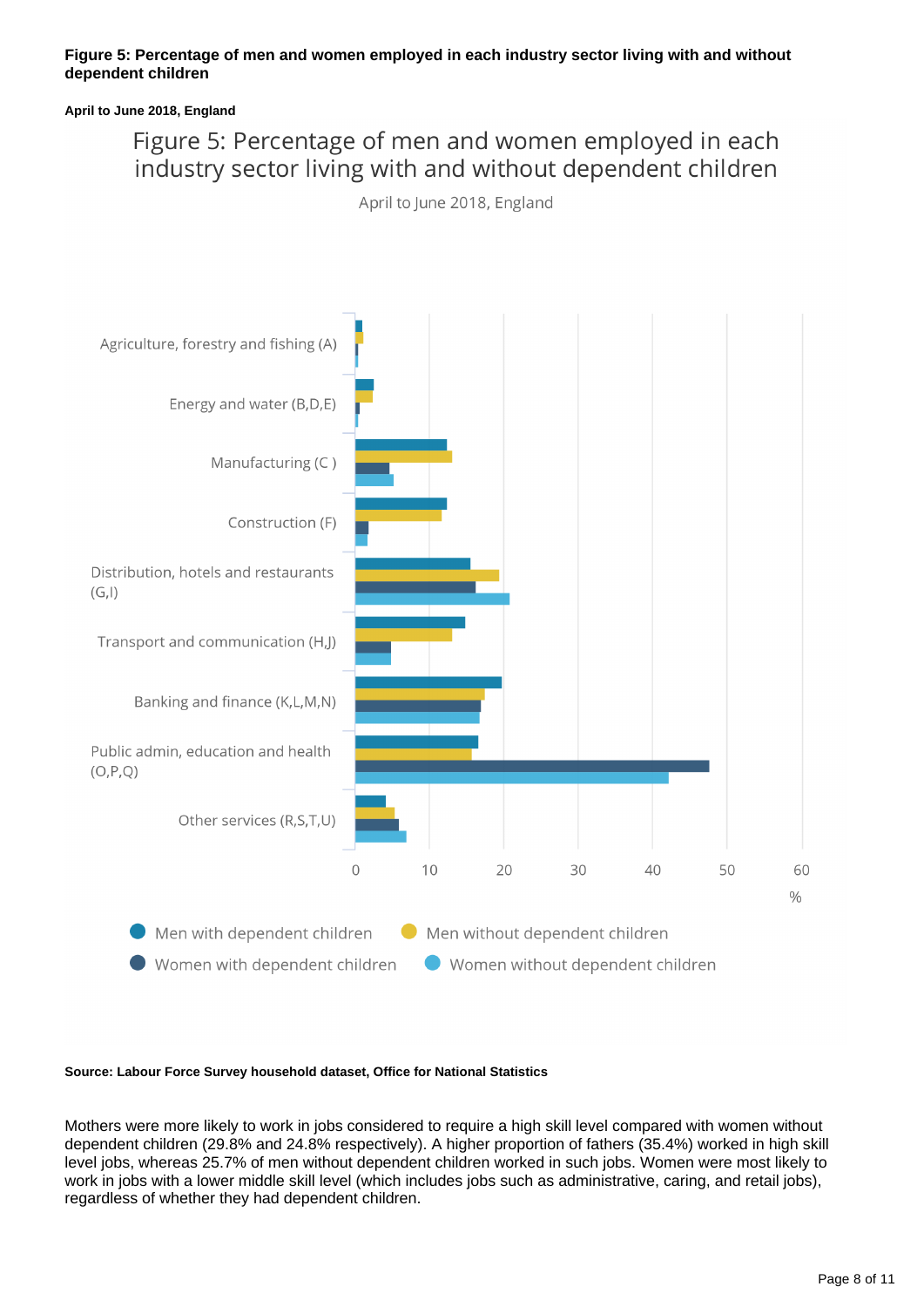### **Figure 5: Percentage of men and women employed in each industry sector living with and without dependent children**

### **April to June 2018, England**

## Figure 5: Percentage of men and women employed in each industry sector living with and without dependent children

April to June 2018, England



#### **Source: Labour Force Survey household dataset, Office for National Statistics**

Mothers were more likely to work in jobs considered to require a high skill level compared with women without dependent children (29.8% and 24.8% respectively). A higher proportion of fathers (35.4%) worked in high skill level jobs, whereas 25.7% of men without dependent children worked in such jobs. Women were most likely to work in jobs with a lower middle skill level (which includes jobs such as administrative, caring, and retail jobs), regardless of whether they had dependent children.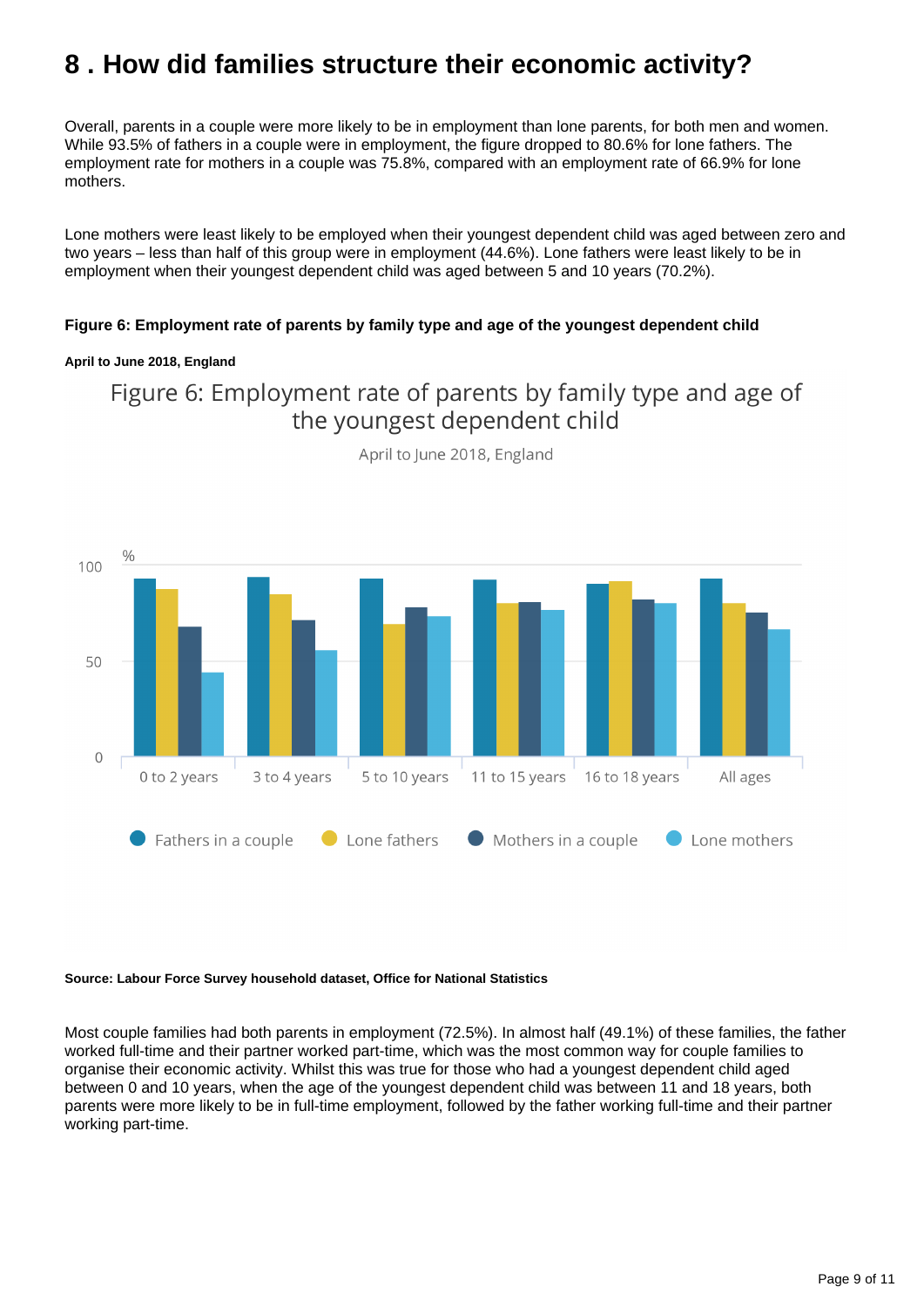## <span id="page-8-0"></span>**8 . How did families structure their economic activity?**

Overall, parents in a couple were more likely to be in employment than lone parents, for both men and women. While 93.5% of fathers in a couple were in employment, the figure dropped to 80.6% for lone fathers. The employment rate for mothers in a couple was 75.8%, compared with an employment rate of 66.9% for lone mothers.

Lone mothers were least likely to be employed when their youngest dependent child was aged between zero and two years – less than half of this group were in employment (44.6%). Lone fathers were least likely to be in employment when their youngest dependent child was aged between 5 and 10 years (70.2%).

### **Figure 6: Employment rate of parents by family type and age of the youngest dependent child**

### **April to June 2018, England**

### Figure 6: Employment rate of parents by family type and age of the youngest dependent child



April to June 2018, England

### **Source: Labour Force Survey household dataset, Office for National Statistics**

Most couple families had both parents in employment (72.5%). In almost half (49.1%) of these families, the father worked full-time and their partner worked part-time, which was the most common way for couple families to organise their economic activity. Whilst this was true for those who had a youngest dependent child aged between 0 and 10 years, when the age of the youngest dependent child was between 11 and 18 years, both parents were more likely to be in full-time employment, followed by the father working full-time and their partner working part-time.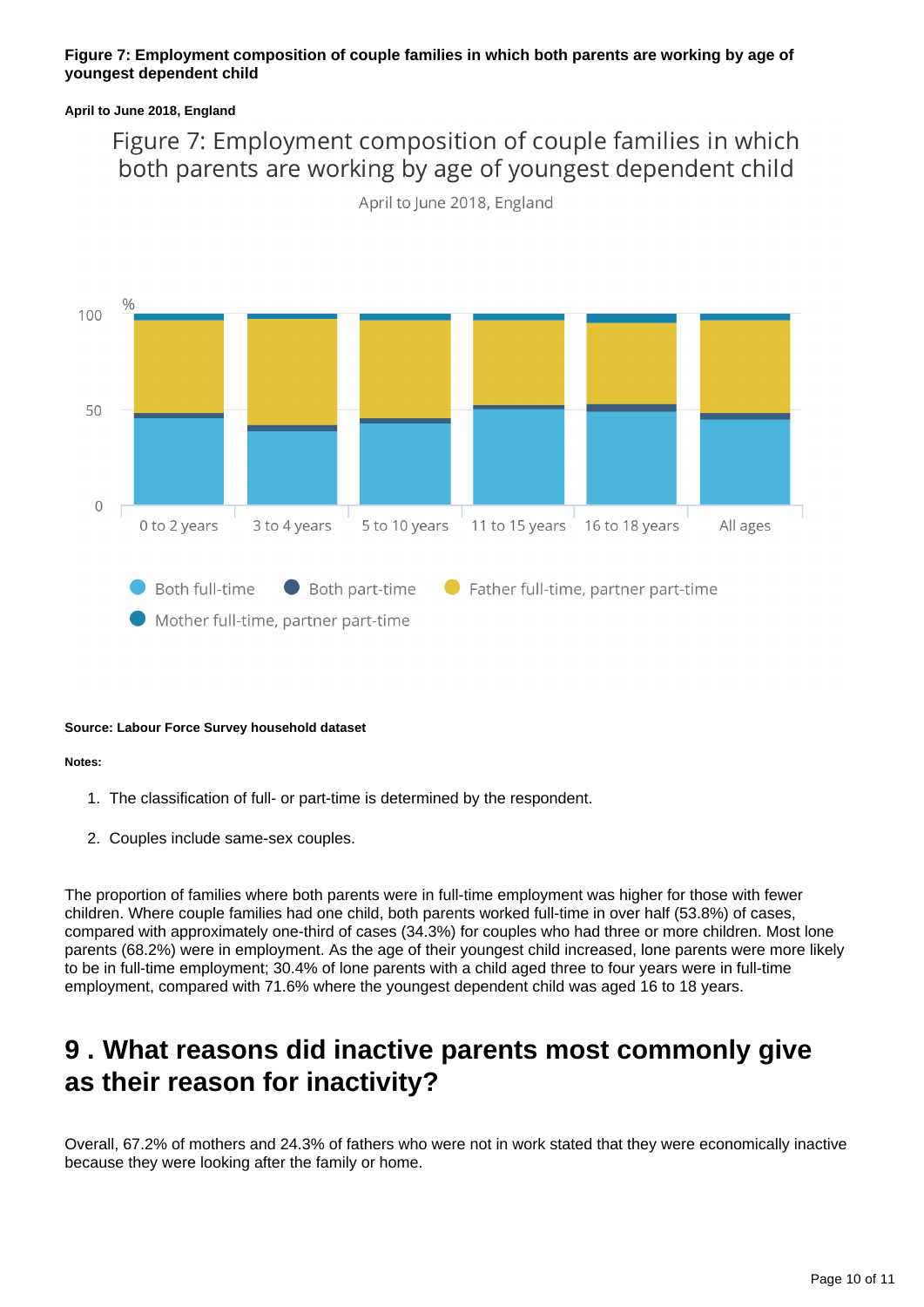### **Figure 7: Employment composition of couple families in which both parents are working by age of youngest dependent child**

### **April to June 2018, England**

## Figure 7: Employment composition of couple families in which both parents are working by age of youngest dependent child



April to June 2018, England

### **Source: Labour Force Survey household dataset**

### **Notes:**

- 1. The classification of full- or part-time is determined by the respondent.
- 2. Couples include same-sex couples.

The proportion of families where both parents were in full-time employment was higher for those with fewer children. Where couple families had one child, both parents worked full-time in over half (53.8%) of cases, compared with approximately one-third of cases (34.3%) for couples who had three or more children. Most lone parents (68.2%) were in employment. As the age of their youngest child increased, lone parents were more likely to be in full-time employment; 30.4% of lone parents with a child aged three to four years were in full-time employment, compared with 71.6% where the youngest dependent child was aged 16 to 18 years.

## <span id="page-9-0"></span>**9 . What reasons did inactive parents most commonly give as their reason for inactivity?**

Overall, 67.2% of mothers and 24.3% of fathers who were not in work stated that they were economically inactive because they were looking after the family or home.